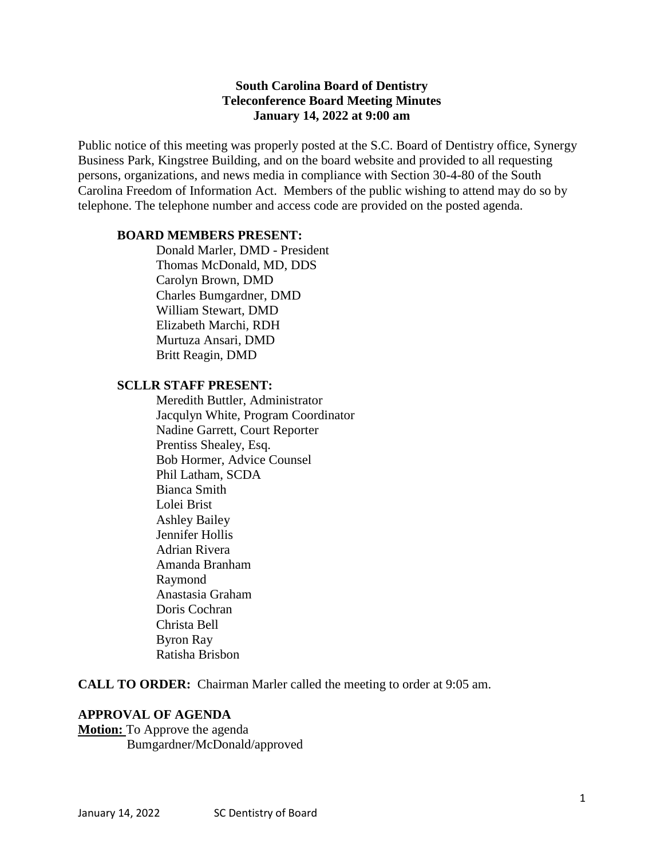#### **South Carolina Board of Dentistry Teleconference Board Meeting Minutes January 14, 2022 at 9:00 am**

Public notice of this meeting was properly posted at the S.C. Board of Dentistry office, Synergy Business Park, Kingstree Building, and on the board website and provided to all requesting persons, organizations, and news media in compliance with Section 30-4-80 of the South Carolina Freedom of Information Act. Members of the public wishing to attend may do so by telephone. The telephone number and access code are provided on the posted agenda.

#### **BOARD MEMBERS PRESENT:**

Donald Marler, DMD - President Thomas McDonald, MD, DDS Carolyn Brown, DMD Charles Bumgardner, DMD William Stewart, DMD Elizabeth Marchi, RDH Murtuza Ansari, DMD Britt Reagin, DMD

#### **SCLLR STAFF PRESENT:**

Meredith Buttler, Administrator Jacqulyn White, Program Coordinator Nadine Garrett, Court Reporter Prentiss Shealey, Esq. Bob Hormer, Advice Counsel Phil Latham, SCDA Bianca Smith Lolei Brist Ashley Bailey Jennifer Hollis Adrian Rivera Amanda Branham Raymond Anastasia Graham Doris Cochran Christa Bell Byron Ray Ratisha Brisbon

**CALL TO ORDER:** Chairman Marler called the meeting to order at 9:05 am.

#### **APPROVAL OF AGENDA**

**Motion:** To Approve the agenda Bumgardner/McDonald/approved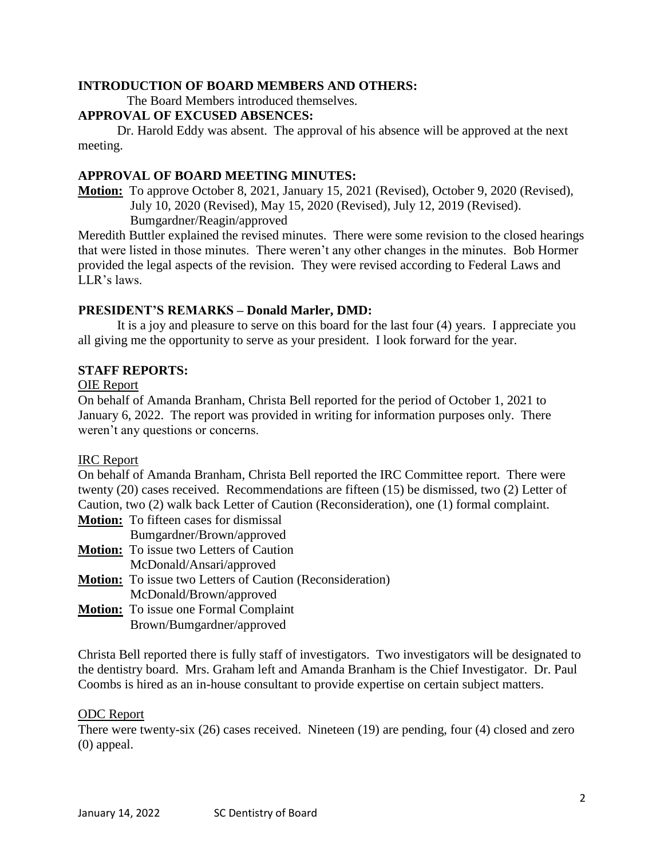#### **INTRODUCTION OF BOARD MEMBERS AND OTHERS:**

The Board Members introduced themselves.

#### **APPROVAL OF EXCUSED ABSENCES:**

Dr. Harold Eddy was absent. The approval of his absence will be approved at the next meeting.

# **APPROVAL OF BOARD MEETING MINUTES:**

**Motion:** To approve October 8, 2021, January 15, 2021 (Revised), October 9, 2020 (Revised), July 10, 2020 (Revised), May 15, 2020 (Revised), July 12, 2019 (Revised). Bumgardner/Reagin/approved

Meredith Buttler explained the revised minutes. There were some revision to the closed hearings that were listed in those minutes. There weren't any other changes in the minutes. Bob Hormer provided the legal aspects of the revision. They were revised according to Federal Laws and LLR's laws.

# **PRESIDENT'S REMARKS – Donald Marler, DMD:**

It is a joy and pleasure to serve on this board for the last four (4) years. I appreciate you all giving me the opportunity to serve as your president. I look forward for the year.

# **STAFF REPORTS:**

#### OIE Report

On behalf of Amanda Branham, Christa Bell reported for the period of October 1, 2021 to January 6, 2022. The report was provided in writing for information purposes only. There weren't any questions or concerns.

#### IRC Report

On behalf of Amanda Branham, Christa Bell reported the IRC Committee report. There were twenty (20) cases received. Recommendations are fifteen (15) be dismissed, two (2) Letter of Caution, two (2) walk back Letter of Caution (Reconsideration), one (1) formal complaint.

- **Motion:** To fifteen cases for dismissal
- Bumgardner/Brown/approved
- **Motion:** To issue two Letters of Caution
	- McDonald/Ansari/approved
- **Motion:** To issue two Letters of Caution (Reconsideration)
- McDonald/Brown/approved
- **Motion:** To issue one Formal Complaint Brown/Bumgardner/approved

Christa Bell reported there is fully staff of investigators. Two investigators will be designated to the dentistry board. Mrs. Graham left and Amanda Branham is the Chief Investigator. Dr. Paul Coombs is hired as an in-house consultant to provide expertise on certain subject matters.

#### ODC Report

There were twenty-six (26) cases received. Nineteen (19) are pending, four (4) closed and zero (0) appeal.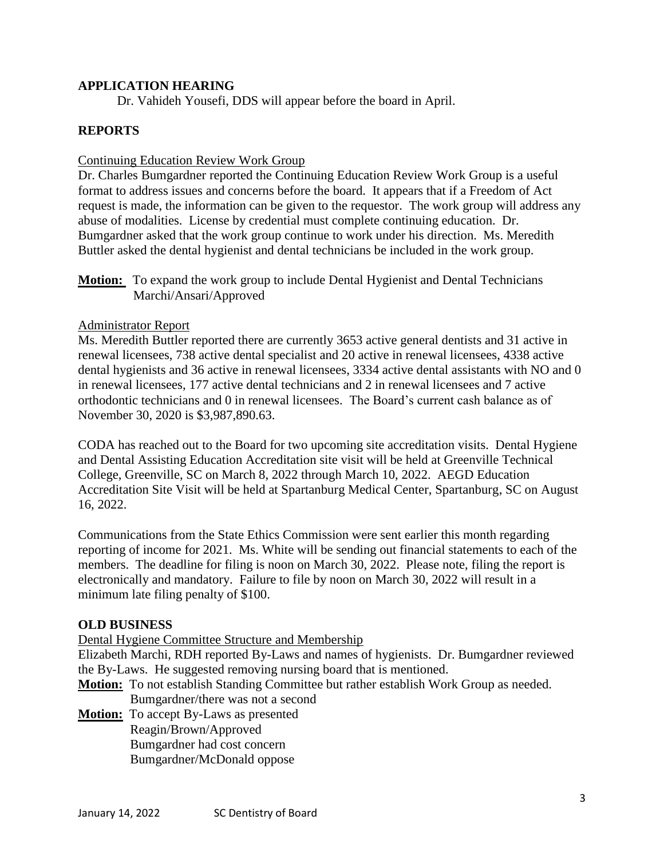#### **APPLICATION HEARING**

Dr. Vahideh Yousefi, DDS will appear before the board in April.

#### **REPORTS**

#### Continuing Education Review Work Group

Dr. Charles Bumgardner reported the Continuing Education Review Work Group is a useful format to address issues and concerns before the board. It appears that if a Freedom of Act request is made, the information can be given to the requestor. The work group will address any abuse of modalities. License by credential must complete continuing education. Dr. Bumgardner asked that the work group continue to work under his direction. Ms. Meredith Buttler asked the dental hygienist and dental technicians be included in the work group.

### **Motion:** To expand the work group to include Dental Hygienist and Dental Technicians Marchi/Ansari/Approved

#### Administrator Report

Ms. Meredith Buttler reported there are currently 3653 active general dentists and 31 active in renewal licensees, 738 active dental specialist and 20 active in renewal licensees, 4338 active dental hygienists and 36 active in renewal licensees, 3334 active dental assistants with NO and 0 in renewal licensees, 177 active dental technicians and 2 in renewal licensees and 7 active orthodontic technicians and 0 in renewal licensees. The Board's current cash balance as of November 30, 2020 is \$3,987,890.63.

CODA has reached out to the Board for two upcoming site accreditation visits. Dental Hygiene and Dental Assisting Education Accreditation site visit will be held at Greenville Technical College, Greenville, SC on March 8, 2022 through March 10, 2022. AEGD Education Accreditation Site Visit will be held at Spartanburg Medical Center, Spartanburg, SC on August 16, 2022.

Communications from the State Ethics Commission were sent earlier this month regarding reporting of income for 2021. Ms. White will be sending out financial statements to each of the members. The deadline for filing is noon on March 30, 2022. Please note, filing the report is electronically and mandatory. Failure to file by noon on March 30, 2022 will result in a minimum late filing penalty of \$100.

#### **OLD BUSINESS**

Dental Hygiene Committee Structure and Membership

Elizabeth Marchi, RDH reported By-Laws and names of hygienists. Dr. Bumgardner reviewed the By-Laws. He suggested removing nursing board that is mentioned.

**Motion:** To not establish Standing Committee but rather establish Work Group as needed. Bumgardner/there was not a second

**Motion:** To accept By-Laws as presented Reagin/Brown/Approved Bumgardner had cost concern Bumgardner/McDonald oppose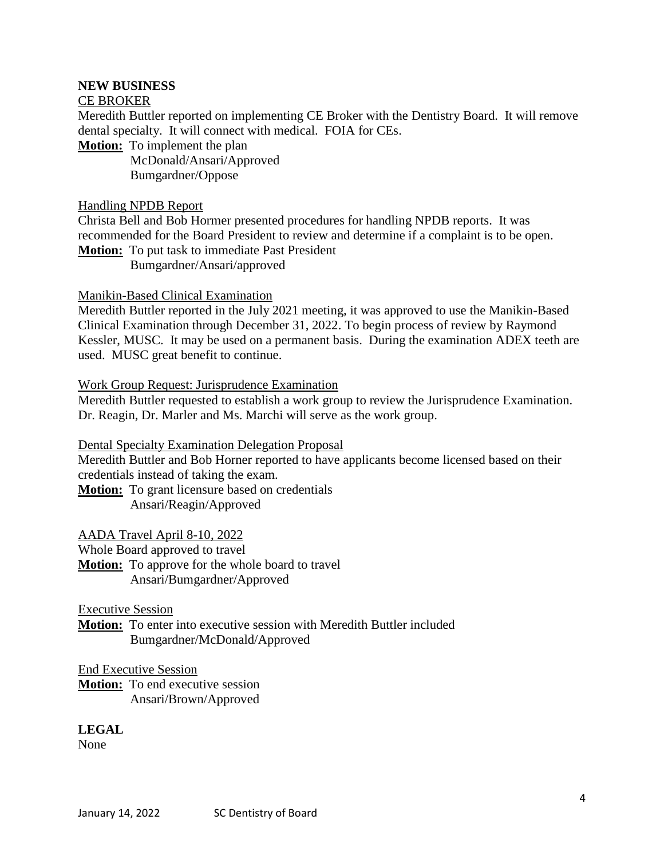### **NEW BUSINESS**

#### CE BROKER

Meredith Buttler reported on implementing CE Broker with the Dentistry Board. It will remove dental specialty. It will connect with medical. FOIA for CEs.

**Motion:** To implement the plan

 McDonald/Ansari/Approved Bumgardner/Oppose

#### Handling NPDB Report

Christa Bell and Bob Hormer presented procedures for handling NPDB reports. It was recommended for the Board President to review and determine if a complaint is to be open. **Motion:** To put task to immediate Past President

Bumgardner/Ansari/approved

#### Manikin-Based Clinical Examination

Meredith Buttler reported in the July 2021 meeting, it was approved to use the Manikin-Based Clinical Examination through December 31, 2022. To begin process of review by Raymond Kessler, MUSC. It may be used on a permanent basis. During the examination ADEX teeth are used. MUSC great benefit to continue.

#### Work Group Request: Jurisprudence Examination

Meredith Buttler requested to establish a work group to review the Jurisprudence Examination. Dr. Reagin, Dr. Marler and Ms. Marchi will serve as the work group.

Dental Specialty Examination Delegation Proposal

Meredith Buttler and Bob Horner reported to have applicants become licensed based on their credentials instead of taking the exam.

**Motion:** To grant licensure based on credentials Ansari/Reagin/Approved

AADA Travel April 8-10, 2022

Whole Board approved to travel

**Motion:** To approve for the whole board to travel Ansari/Bumgardner/Approved

Executive Session

**Motion:** To enter into executive session with Meredith Buttler included Bumgardner/McDonald/Approved

End Executive Session

**Motion:** To end executive session Ansari/Brown/Approved

**LEGAL**

None